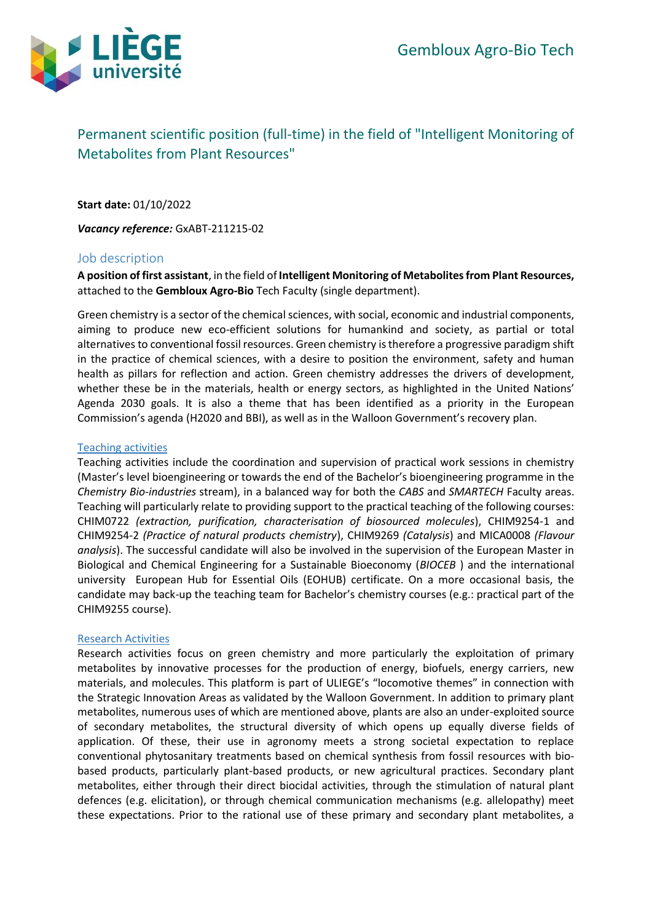

# Permanent scientific position (full-time) in the field of "Intelligent Monitoring of Metabolites from Plant Resources"

**Start date:** 01/10/2022

*Vacancy reference:* GxABT-211215-02

# Job description

**A position of first assistant**, in the field of **Intelligent Monitoring of Metabolites from Plant Resources,** attached to the **Gembloux Agro-Bio** Tech Faculty (single department).

Green chemistry is a sector of the chemical sciences, with social, economic and industrial components, aiming to produce new eco-efficient solutions for humankind and society, as partial or total alternatives to conventional fossil resources. Green chemistry is therefore a progressive paradigm shift in the practice of chemical sciences, with a desire to position the environment, safety and human health as pillars for reflection and action. Green chemistry addresses the drivers of development, whether these be in the materials, health or energy sectors, as highlighted in the United Nations' Agenda 2030 goals. It is also a theme that has been identified as a priority in the European Commission's agenda (H2020 and BBI), as well as in the Walloon Government's recovery plan.

#### Teaching activities

Teaching activities include the coordination and supervision of practical work sessions in chemistry (Master's level bioengineering or towards the end of the Bachelor's bioengineering programme in the *Chemistry Bio-industries* stream), in a balanced way for both the *CABS* and *SMARTECH* Faculty areas. Teaching will particularly relate to providing support to the practical teaching of the following courses: CHIM0722 *(extraction, purification, characterisation of biosourced molecules*), CHIM9254-1 and CHIM9254-2 *(Practice of natural products chemistry*), CHIM9269 *(Catalysis*) and MICA0008 *(Flavour analysis*). The successful candidate will also be involved in the supervision of the European Master in Biological and Chemical Engineering for a Sustainable Bioeconomy (*BIOCEB* ) and the international university European Hub for Essential Oils (EOHUB) certificate. On a more occasional basis, the candidate may back-up the teaching team for Bachelor's chemistry courses (e.g.: practical part of the CHIM9255 course).

#### Research Activities

Research activities focus on green chemistry and more particularly the exploitation of primary metabolites by innovative processes for the production of energy, biofuels, energy carriers, new materials, and molecules. This platform is part of ULIEGE's "locomotive themes" in connection with the Strategic Innovation Areas as validated by the Walloon Government. In addition to primary plant metabolites, numerous uses of which are mentioned above, plants are also an under-exploited source of secondary metabolites, the structural diversity of which opens up equally diverse fields of application. Of these, their use in agronomy meets a strong societal expectation to replace conventional phytosanitary treatments based on chemical synthesis from fossil resources with biobased products, particularly plant-based products, or new agricultural practices. Secondary plant metabolites, either through their direct biocidal activities, through the stimulation of natural plant defences (e.g. elicitation), or through chemical communication mechanisms (e.g. allelopathy) meet these expectations. Prior to the rational use of these primary and secondary plant metabolites, a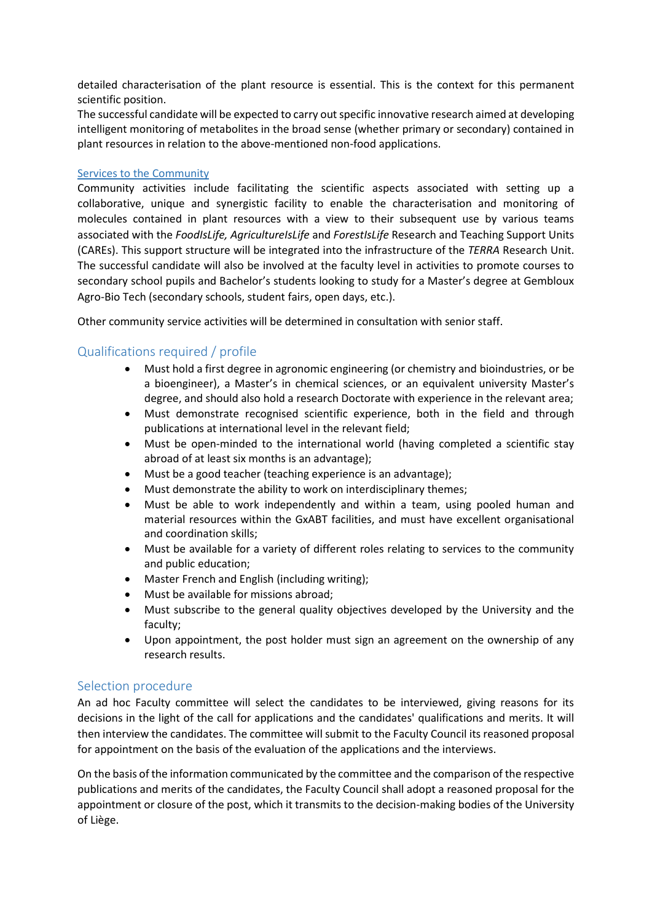detailed characterisation of the plant resource is essential. This is the context for this permanent scientific position.

The successful candidate will be expected to carry out specific innovative research aimed at developing intelligent monitoring of metabolites in the broad sense (whether primary or secondary) contained in plant resources in relation to the above-mentioned non-food applications.

# Services to the Community

Community activities include facilitating the scientific aspects associated with setting up a collaborative, unique and synergistic facility to enable the characterisation and monitoring of molecules contained in plant resources with a view to their subsequent use by various teams associated with the *FoodIsLife, AgricultureIsLife* and *ForestIsLife* Research and Teaching Support Units (CAREs). This support structure will be integrated into the infrastructure of the *TERRA* Research Unit. The successful candidate will also be involved at the faculty level in activities to promote courses to secondary school pupils and Bachelor's students looking to study for a Master's degree at Gembloux Agro-Bio Tech (secondary schools, student fairs, open days, etc.).

Other community service activities will be determined in consultation with senior staff.

# Qualifications required / profile

- Must hold a first degree in agronomic engineering (or chemistry and bioindustries, or be a bioengineer), a Master's in chemical sciences, or an equivalent university Master's degree, and should also hold a research Doctorate with experience in the relevant area;
- Must demonstrate recognised scientific experience, both in the field and through publications at international level in the relevant field;
- Must be open-minded to the international world (having completed a scientific stay abroad of at least six months is an advantage);
- Must be a good teacher (teaching experience is an advantage);
- Must demonstrate the ability to work on interdisciplinary themes;
- Must be able to work independently and within a team, using pooled human and material resources within the GxABT facilities, and must have excellent organisational and coordination skills;
- Must be available for a variety of different roles relating to services to the community and public education;
- Master French and English (including writing);
- Must be available for missions abroad;
- Must subscribe to the general quality objectives developed by the University and the faculty;
- Upon appointment, the post holder must sign an agreement on the ownership of any research results.

# Selection procedure

An ad hoc Faculty committee will select the candidates to be interviewed, giving reasons for its decisions in the light of the call for applications and the candidates' qualifications and merits. It will then interview the candidates. The committee will submit to the Faculty Council its reasoned proposal for appointment on the basis of the evaluation of the applications and the interviews.

On the basis of the information communicated by the committee and the comparison of the respective publications and merits of the candidates, the Faculty Council shall adopt a reasoned proposal for the appointment or closure of the post, which it transmits to the decision-making bodies of the University of Liège.